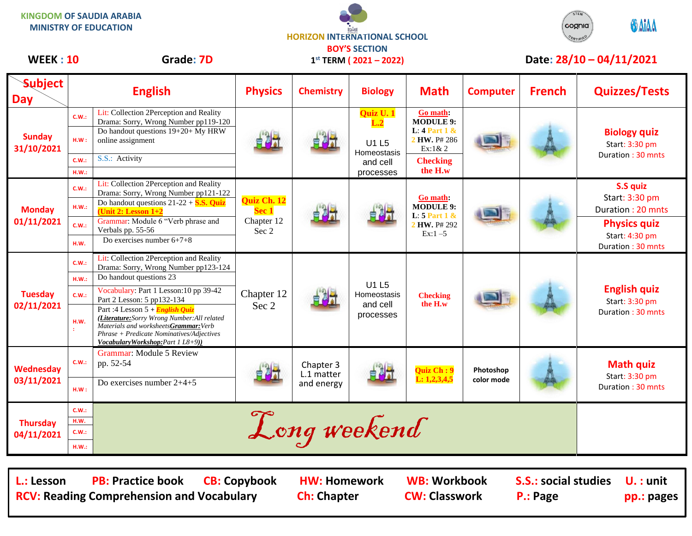| <b>KINGDOM OF SAUDIA ARABIA</b><br><b>MINISTRY OF EDUCATION</b><br>Grade: 7D<br><b>WEEK: 10</b> |                                | <b>HORIZON INTERNATIONAL SCHOOL</b><br><b>BOY'S SECTION</b>                                                                                                                                                                                                                      |                                             |                                       |                                               |                                                                                                                                               | STEM<br><b>ONIAA</b><br>cognia<br>Date: 28/10 - 04/11/2021 |               |                                                            |
|-------------------------------------------------------------------------------------------------|--------------------------------|----------------------------------------------------------------------------------------------------------------------------------------------------------------------------------------------------------------------------------------------------------------------------------|---------------------------------------------|---------------------------------------|-----------------------------------------------|-----------------------------------------------------------------------------------------------------------------------------------------------|------------------------------------------------------------|---------------|------------------------------------------------------------|
|                                                                                                 |                                |                                                                                                                                                                                                                                                                                  |                                             |                                       | $1^{st}$ TERM (2021 - 2022)                   |                                                                                                                                               |                                                            |               |                                                            |
| <b>Subject</b><br><b>Day</b>                                                                    |                                | <b>English</b>                                                                                                                                                                                                                                                                   | <b>Physics</b>                              | <b>Chemistry</b>                      | <b>Biology</b>                                | <b>Math</b>                                                                                                                                   | <b>Computer</b>                                            | <b>French</b> | <b>Quizzes/Tests</b>                                       |
| <b>Sunday</b><br>31/10/2021                                                                     | C.W.:<br>HM:                   | Lit: Collection 2Perception and Reality<br>Drama: Sorry, Wrong Number pp119-120<br>Do handout questions 19+20+ My HRW<br>online assignment                                                                                                                                       |                                             |                                       | Quiz U. 1<br>L.2                              | Go math:<br><b>MODULE 9:</b><br>L: $4$ Part $1$ &<br>2 HW. P# 286<br>U1 L5<br>Ex:1 & 2<br><b>Checking</b><br>and cell<br>the H.w<br>processes |                                                            |               | <b>Biology quiz</b><br>Start: 3:30 pm<br>Duration: 30 mnts |
|                                                                                                 | C.W.:<br>H.W.:                 | S.S.: Activity                                                                                                                                                                                                                                                                   |                                             |                                       | Homeostasis                                   |                                                                                                                                               |                                                            |               |                                                            |
| <b>Monday</b><br>01/11/2021                                                                     | C.W.:<br>HM.:                  | Lit: Collection 2Perception and Reality<br>Drama: Sorry, Wrong Number pp121-122<br>Do handout questions $21-22 + S.S.$ Quiz<br>(Unit 2: Lesson $1+2$                                                                                                                             | Quiz Ch. 12<br>Sec 1<br>Chapter 12<br>Sec 2 |                                       |                                               | Go math:<br><b>MODULE 9:</b><br>L: $5$ Part 1 &<br>2 HW. P# 292<br>$Ex:1-5$                                                                   |                                                            |               | S.S quiz<br>Start: 3:30 pm<br>Duration: 20 mnts            |
|                                                                                                 | C.W.:<br>H.W.                  | Grammar: Module 6 "Verb phrase and<br>Verbals pp. 55-56<br>Do exercises number $6+7+8$                                                                                                                                                                                           |                                             |                                       |                                               |                                                                                                                                               |                                                            |               | <b>Physics quiz</b><br>Start: 4:30 pm<br>Duration: 30 mnts |
| <b>Tuesday</b><br>02/11/2021                                                                    | C.W.:<br>HM.:                  | Lit: Collection 2Perception and Reality<br>Drama: Sorry, Wrong Number pp123-124<br>Do handout questions 23                                                                                                                                                                       | Chapter 12<br>Sec 2                         |                                       | U1 L5<br>Homeostasis<br>and cell<br>processes | <b>Checking</b><br>the H.w                                                                                                                    |                                                            |               | <b>English quiz</b><br>Start: 3:30 pm<br>Duration: 30 mnts |
|                                                                                                 | C.W.:<br>H.W.                  | Vocabulary: Part 1 Lesson: 10 pp 39-42<br>Part 2 Lesson: 5 pp132-134<br>Part :4 Lesson 5 + English Quiz<br>(Literature: Sorry Wrong Number: All related<br>Materials and worksheetsGrammar: Verb<br>Phrase + Predicate Nominatives/Adjectives<br>VocabularyWorkshop:Part 1 L8+9) |                                             |                                       |                                               |                                                                                                                                               |                                                            |               |                                                            |
| Wednesday<br>03/11/2021                                                                         | C.W.:<br>HM:                   | Grammar: Module 5 Review<br>pp. 52-54<br>Do exercises number $2+4+5$                                                                                                                                                                                                             |                                             | Chapter 3<br>L.1 matter<br>and energy |                                               | Quiz Ch: 9<br>L: 1, 2, 3, 4, 5                                                                                                                | Photoshop<br>color mode                                    |               | <b>Math quiz</b><br>Start: 3:30 pm<br>Duration: 30 mnts    |
| <b>Thursday</b><br>04/11/2021                                                                   | C.W.:<br>H.W.<br>C.W.:<br>HM.: |                                                                                                                                                                                                                                                                                  |                                             | Long weekend                          |                                               |                                                                                                                                               |                                                            |               |                                                            |

 $\overline{\phantom{a}}$ 

L.: Lesson PB: Practice book CB: Copybook HW: Homework WB: Workbook S.S.: social studies U. : unit<br>
RCV: Reading Comprehension and Vocabulary Ch: Chapter CW: Classwork P.: Page pp.: page RCV: Reading Comprehension and Vocabulary **Ch:** Chapter **CW: Classwork P.: Page** pp.: pages

**H.W.:**